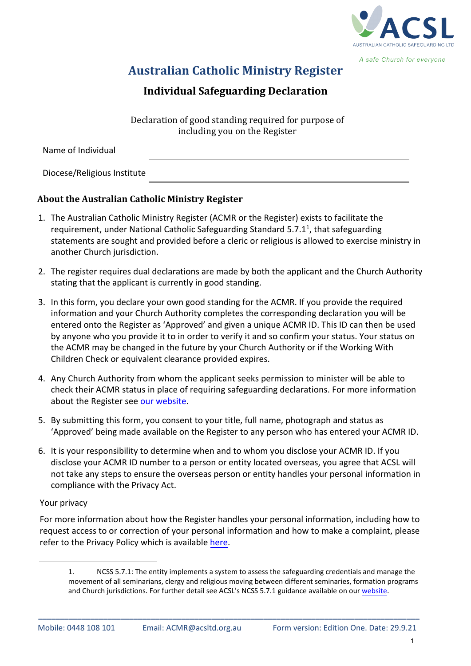

A safe Church for everyone

# **Australian Catholic Ministry Register**

## **Individual Safeguarding Declaration**

Declaration of good standing required for purpose of including you on the Register

Name of Individual

Diocese/Religious Institute

### **About the Australian Catholic Ministry Register**

- 1. The Australian Catholic Ministry Register (ACMR or the Register) exists to facilitate the requirement, under National Catholic Safeguarding Standard 5.7.1<sup>1</sup>, that safeguarding statements are sought and provided before a cleric or religious is allowed to exercise ministry in another Church jurisdiction.
- 2. The register requires dual declarations are made by both the applicant and the Church Authority stating that the applicant is currently in good standing.
- 3. In this form, you declare your own good standing for the ACMR. If you provide the required information and your Church Authority completes the corresponding declaration you will be entered onto the Register as 'Approved' and given a unique ACMR ID. This ID can then be used by anyone who you provide it to in order to verify it and so confirm your status. Your status on the ACMR may be changed in the future by your Church Authority or if the Working With Children Check or equivalent clearance provided expires.
- 4. Any Church Authority from whom the applicant seeks permission to minister will be able to check their ACMR status in place of requiring safeguarding declarations. For more information about the Register see [our website.](https://rebrand.ly/acmrhome)
- 5. By submitting this form, you consent to your title, full name, photograph and status as 'Approved' being made available on the Register to any person who has entered your ACMR ID.
- 6. It is your responsibility to determine when and to whom you disclose your ACMR ID. If you disclose your ACMR ID number to a person or entity located overseas, you agree that ACSL will not take any steps to ensure the overseas person or entity handles your personal information in compliance with the Privacy Act.

#### Your privacy

For more information about how the Register handles your personal information, including how to request access to or correction of your personal information and how to make a complaint, please refer to the Privacy Policy which is available [here.](https://rebrand.ly/ACSLtdpp)

**\_\_\_\_\_\_\_\_\_\_\_\_\_\_\_\_\_\_\_\_\_\_\_\_\_\_\_\_\_\_\_\_\_\_\_\_\_\_\_\_\_\_\_\_\_\_\_\_\_\_\_\_\_\_\_\_\_\_\_\_\_\_\_\_\_\_\_\_\_\_\_\_\_\_\_\_\_\_\_\_\_\_\_\_\_\_\_\_**

<sup>1.</sup> NCSS 5.7.1: The entity implements a system to assess the safeguarding credentials and manage the movement of all seminarians, clergy and religious moving between different seminaries, formation programs and Church jurisdictions. For further detail see ACSL's NCSS 5.7.1 guidance available on our [website.](https://rebrand.ly/acmrhome)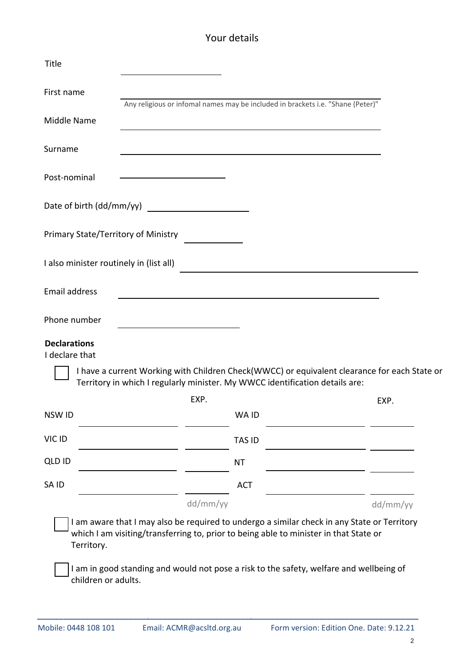## Your details

| Title                                   |                                                                                                                                                                                      |               |          |
|-----------------------------------------|--------------------------------------------------------------------------------------------------------------------------------------------------------------------------------------|---------------|----------|
| First name                              | Any religious or infomal names may be included in brackets i.e. "Shane (Peter)"                                                                                                      |               |          |
| <b>Middle Name</b>                      |                                                                                                                                                                                      |               |          |
| Surname                                 |                                                                                                                                                                                      |               |          |
| Post-nominal                            |                                                                                                                                                                                      |               |          |
|                                         |                                                                                                                                                                                      |               |          |
| Primary State/Territory of Ministry     |                                                                                                                                                                                      |               |          |
| I also minister routinely in (list all) |                                                                                                                                                                                      |               |          |
| <b>Email address</b>                    |                                                                                                                                                                                      |               |          |
| Phone number                            |                                                                                                                                                                                      |               |          |
| <b>Declarations</b><br>I declare that   |                                                                                                                                                                                      |               |          |
|                                         | I have a current Working with Children Check(WWCC) or equivalent clearance for each State or<br>Territory in which I regularly minister. My WWCC identification details are:         |               |          |
|                                         | EXP.                                                                                                                                                                                 |               | EXP.     |
| NSW ID                                  |                                                                                                                                                                                      | WA ID         |          |
| VIC ID                                  |                                                                                                                                                                                      | <b>TAS ID</b> |          |
| <b>QLD ID</b>                           |                                                                                                                                                                                      | <b>NT</b>     |          |
| SA ID                                   |                                                                                                                                                                                      | <b>ACT</b>    |          |
|                                         | dd/mm/yy                                                                                                                                                                             |               | dd/mm/yy |
| Territory.                              | I am aware that I may also be required to undergo a similar check in any State or Territory<br>which I am visiting/transferring to, prior to being able to minister in that State or |               |          |
| children or adults.                     | I am in good standing and would not pose a risk to the safety, welfare and wellbeing of                                                                                              |               |          |

**\_\_\_\_\_\_\_\_\_\_\_\_\_\_\_\_\_\_\_\_\_\_\_\_\_\_\_\_\_\_\_\_\_\_\_\_\_\_\_\_\_\_\_\_\_\_\_\_\_\_\_\_\_\_\_\_\_\_\_\_\_\_\_\_\_\_\_\_\_\_\_\_\_\_\_\_\_\_\_\_\_\_\_\_\_\_\_\_**